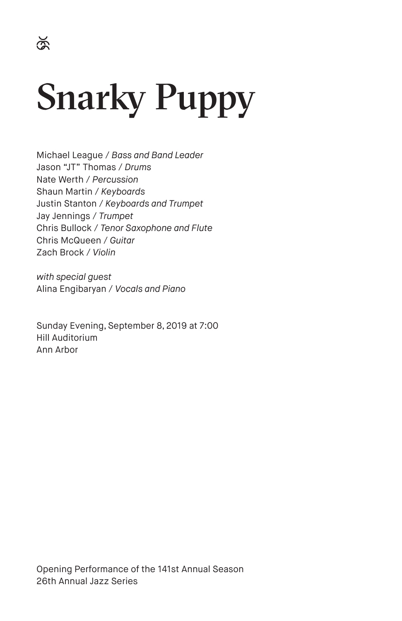# Snarky Puppy

Michael League / *Bass and Band Leader* Jason "JT" Thomas / *Drums* Nate Werth / *Percussion* Shaun Martin / *Keyboards* Justin Stanton / *Keyboards and Trumpet* Jay Jennings / *Trumpet* Chris Bullock / *Tenor Saxophone and Flute* Chris McQueen / *Guitar* Zach Brock / *Violin*

*with special guest* Alina Engibaryan / *Vocals and Piano*

Sunday Evening, September 8, 2019 at 7:00 Hill Auditorium Ann Arbor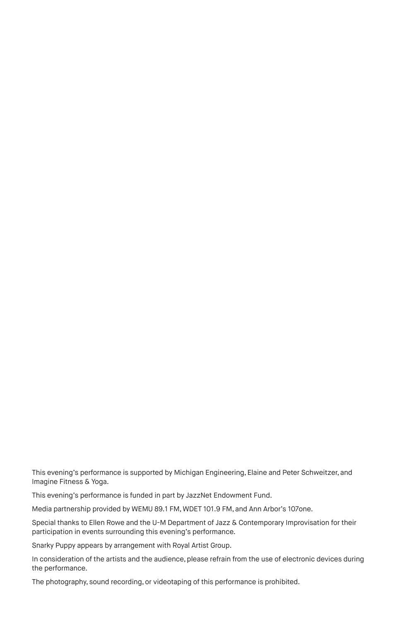This evening's performance is supported by Michigan Engineering, Elaine and Peter Schweitzer, and Imagine Fitness & Yoga.

This evening's performance is funded in part by JazzNet Endowment Fund.

Media partnership provided by WEMU 89.1 FM, WDET 101.9 FM, and Ann Arbor's 107one.

Special thanks to Ellen Rowe and the U-M Department of Jazz & Contemporary Improvisation for their participation in events surrounding this evening's performance.

Snarky Puppy appears by arrangement with Royal Artist Group.

In consideration of the artists and the audience, please refrain from the use of electronic devices during the performance.

The photography, sound recording, or videotaping of this performance is prohibited.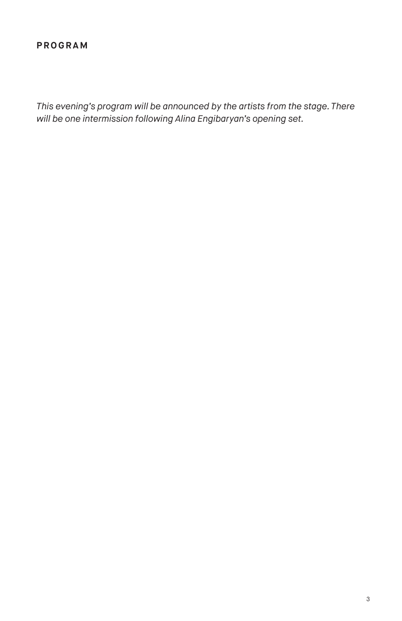#### **PROGRAM**

*This evening's program will be announced by the artists from the stage. There will be one intermission following Alina Engibaryan's opening set.*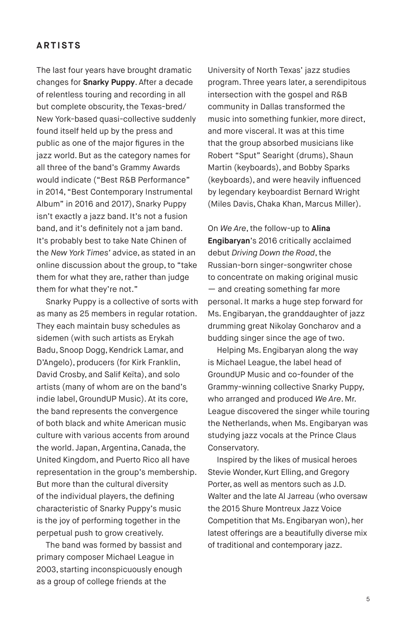#### **ARTISTS**

The last four years have brought dramatic changes for **Snarky Puppy**. After a decade of relentless touring and recording in all but complete obscurity, the Texas-bred/ New York-based quasi-collective suddenly found itself held up by the press and public as one of the major figures in the jazz world. But as the category names for all three of the band's Grammy Awards would indicate ("Best R&B Performance" in 2014, "Best Contemporary Instrumental Album" in 2016 and 2017), Snarky Puppy isn't exactly a jazz band. It's not a fusion band, and it's definitely not a jam band. It's probably best to take Nate Chinen of the *New York Times'* advice, as stated in an online discussion about the group, to "take them for what they are, rather than judge them for what they're not."

Snarky Puppy is a collective of sorts with as many as 25 members in regular rotation. They each maintain busy schedules as sidemen (with such artists as Erykah Badu, Snoop Dogg, Kendrick Lamar, and D'Angelo), producers (for Kirk Franklin, David Crosby, and Salif Keïta), and solo artists (many of whom are on the band's indie label, GroundUP Music). At its core, the band represents the convergence of both black and white American music culture with various accents from around the world. Japan, Argentina, Canada, the United Kingdom, and Puerto Rico all have representation in the group's membership. But more than the cultural diversity of the individual players, the defining characteristic of Snarky Puppy's music is the joy of performing together in the perpetual push to grow creatively.

The band was formed by bassist and primary composer Michael League in 2003, starting inconspicuously enough as a group of college friends at the

University of North Texas' jazz studies program. Three years later, a serendipitous intersection with the gospel and R&B community in Dallas transformed the music into something funkier, more direct, and more visceral. It was at this time that the group absorbed musicians like Robert "Sput" Searight (drums), Shaun Martin (keyboards), and Bobby Sparks (keyboards), and were heavily influenced by legendary keyboardist Bernard Wright (Miles Davis, Chaka Khan, Marcus Miller).

On *We Are*, the follow-up to **Alina Engibaryan**'s 2016 critically acclaimed debut *Driving Down the Road*, the Russian-born singer-songwriter chose to concentrate on making original music — and creating something far more personal. It marks a huge step forward for Ms. Engibaryan, the granddaughter of jazz drumming great Nikolay Goncharov and a budding singer since the age of two.

Helping Ms. Engibaryan along the way is Michael League, the label head of GroundUP Music and co-founder of the Grammy-winning collective Snarky Puppy, who arranged and produced *We Are*. Mr. League discovered the singer while touring the Netherlands, when Ms. Engibaryan was studying jazz vocals at the Prince Claus Conservatory.

Inspired by the likes of musical heroes Stevie Wonder, Kurt Elling, and Gregory Porter, as well as mentors such as J.D. Walter and the late Al Jarreau (who oversaw the 2015 Shure Montreux Jazz Voice Competition that Ms. Engibaryan won), her latest offerings are a beautifully diverse mix of traditional and contemporary jazz.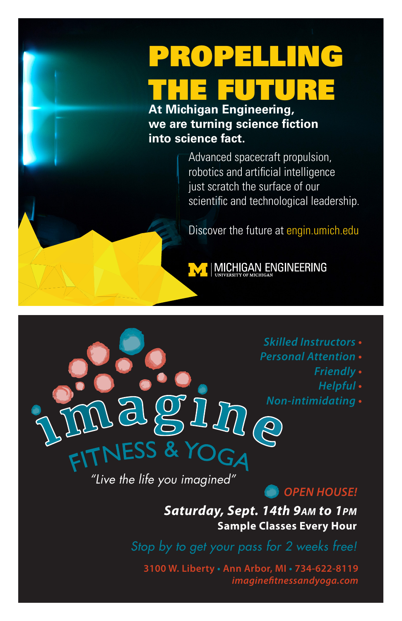## PROPELLING THE FUTURE

**At Michigan Engineering, we are turning science fiction into science fact.**

> Advanced spacecraft propulsion, robotics and artificial intelligence just scratch the surface of our scientific and technological leadership.

> Discover the future at engin.umich.edu



**MICHIGAN ENGINEERING** 

- *Skilled Instructors* **•**
- *Personal Attention* **•**
	- *Friendly* **•**
	- *Helpful* **•**
	- *Non-intimidating* **•**

*"Live the life you imagined"*

JESS & Y

#### *OPEN HOUSE!*

*Saturday, Sept. 14th 9AM to 1PM* **Sample Classes Every Hour**

*Stop by to get your pass for 2 weeks free!*

**3100 W. Liberty • Ann Arbor, MI • 734-622-8119** *imaginetnessandyoga.com*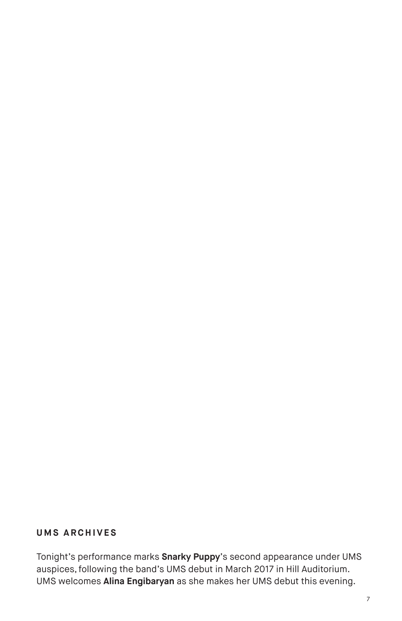#### **UMS ARCHIVES**

Tonight's performance marks **Snarky Puppy**'s second appearance under UMS auspices, following the band's UMS debut in March 2017 in Hill Auditorium. UMS welcomes **Alina Engibaryan** as she makes her UMS debut this evening.